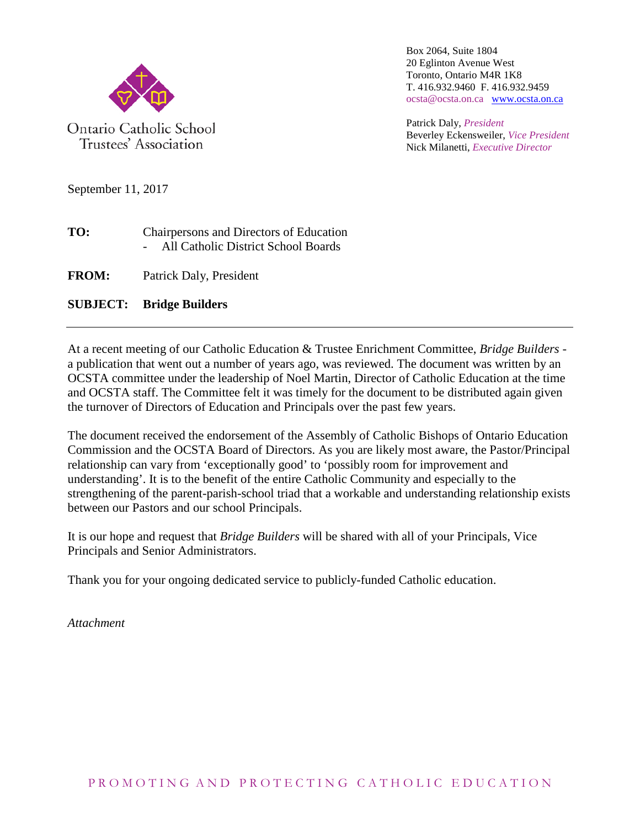

Trustees' Association

Box 2064, Suite 1804 20 Eglinton Avenue West Toronto, Ontario M4R 1K8 T. 416.932.9460 F. 416.932.9459 ocsta@ocsta.on.ca [www.ocsta.on.ca](http://www.ocsta.on.ca/)

Patrick Daly, *President* Beverley Eckensweiler, *Vice President* Nick Milanetti, *Executive Director*

September 11, 2017

- **TO:** Chairpersons and Directors of Education - All Catholic District School Boards
- **FROM:** Patrick Daly, President

### **SUBJECT: Bridge Builders**

At a recent meeting of our Catholic Education & Trustee Enrichment Committee, *Bridge Builders*  a publication that went out a number of years ago, was reviewed. The document was written by an OCSTA committee under the leadership of Noel Martin, Director of Catholic Education at the time and OCSTA staff. The Committee felt it was timely for the document to be distributed again given the turnover of Directors of Education and Principals over the past few years.

The document received the endorsement of the Assembly of Catholic Bishops of Ontario Education Commission and the OCSTA Board of Directors. As you are likely most aware, the Pastor/Principal relationship can vary from 'exceptionally good' to 'possibly room for improvement and understanding'. It is to the benefit of the entire Catholic Community and especially to the strengthening of the parent-parish-school triad that a workable and understanding relationship exists between our Pastors and our school Principals.

It is our hope and request that *Bridge Builders* will be shared with all of your Principals, Vice Principals and Senior Administrators.

Thank you for your ongoing dedicated service to publicly-funded Catholic education.

*Attachment*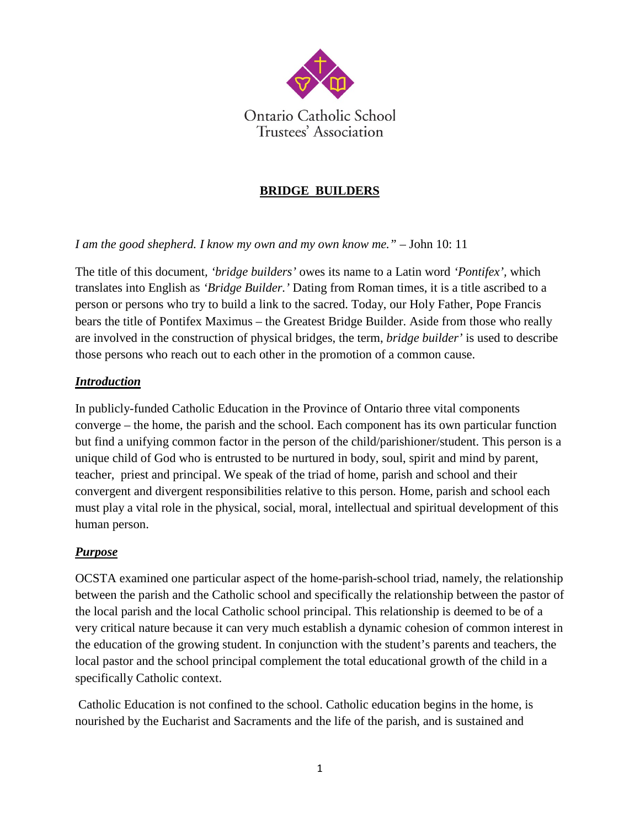

### **BRIDGE BUILDERS**

*I am the good shepherd. I know my own and my own know me.*" – John 10: 11

The title of this document*, 'bridge builders'* owes its name to a Latin word *'Pontifex',* which translates into English as *'Bridge Builder.'* Dating from Roman times, it is a title ascribed to a person or persons who try to build a link to the sacred. Today, our Holy Father, Pope Francis bears the title of Pontifex Maximus – the Greatest Bridge Builder. Aside from those who really are involved in the construction of physical bridges, the term, *bridge builder'* is used to describe those persons who reach out to each other in the promotion of a common cause.

### *Introduction*

In publicly-funded Catholic Education in the Province of Ontario three vital components converge – the home, the parish and the school. Each component has its own particular function but find a unifying common factor in the person of the child/parishioner/student. This person is a unique child of God who is entrusted to be nurtured in body, soul, spirit and mind by parent, teacher, priest and principal. We speak of the triad of home, parish and school and their convergent and divergent responsibilities relative to this person. Home, parish and school each must play a vital role in the physical, social, moral, intellectual and spiritual development of this human person.

### *Purpose*

OCSTA examined one particular aspect of the home-parish-school triad, namely, the relationship between the parish and the Catholic school and specifically the relationship between the pastor of the local parish and the local Catholic school principal. This relationship is deemed to be of a very critical nature because it can very much establish a dynamic cohesion of common interest in the education of the growing student. In conjunction with the student's parents and teachers, the local pastor and the school principal complement the total educational growth of the child in a specifically Catholic context.

Catholic Education is not confined to the school. Catholic education begins in the home, is nourished by the Eucharist and Sacraments and the life of the parish, and is sustained and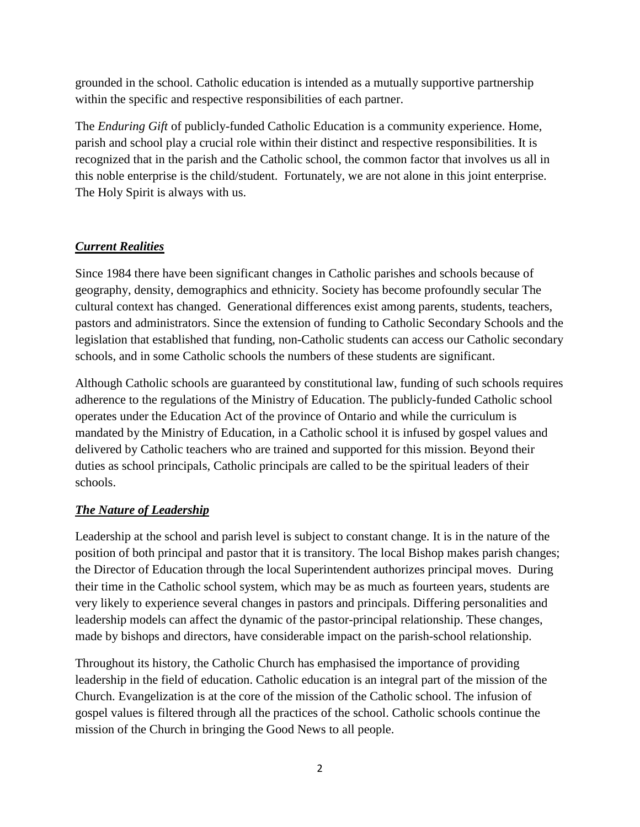grounded in the school. Catholic education is intended as a mutually supportive partnership within the specific and respective responsibilities of each partner.

The *Enduring Gift* of publicly-funded Catholic Education is a community experience. Home, parish and school play a crucial role within their distinct and respective responsibilities. It is recognized that in the parish and the Catholic school, the common factor that involves us all in this noble enterprise is the child/student. Fortunately, we are not alone in this joint enterprise. The Holy Spirit is always with us.

# *Current Realities*

Since 1984 there have been significant changes in Catholic parishes and schools because of geography, density, demographics and ethnicity. Society has become profoundly secular The cultural context has changed. Generational differences exist among parents, students, teachers, pastors and administrators. Since the extension of funding to Catholic Secondary Schools and the legislation that established that funding, non-Catholic students can access our Catholic secondary schools, and in some Catholic schools the numbers of these students are significant.

Although Catholic schools are guaranteed by constitutional law, funding of such schools requires adherence to the regulations of the Ministry of Education. The publicly-funded Catholic school operates under the Education Act of the province of Ontario and while the curriculum is mandated by the Ministry of Education, in a Catholic school it is infused by gospel values and delivered by Catholic teachers who are trained and supported for this mission. Beyond their duties as school principals, Catholic principals are called to be the spiritual leaders of their schools.

# *The Nature of Leadership*

Leadership at the school and parish level is subject to constant change. It is in the nature of the position of both principal and pastor that it is transitory. The local Bishop makes parish changes; the Director of Education through the local Superintendent authorizes principal moves. During their time in the Catholic school system, which may be as much as fourteen years, students are very likely to experience several changes in pastors and principals. Differing personalities and leadership models can affect the dynamic of the pastor-principal relationship. These changes, made by bishops and directors, have considerable impact on the parish-school relationship.

Throughout its history, the Catholic Church has emphasised the importance of providing leadership in the field of education. Catholic education is an integral part of the mission of the Church. Evangelization is at the core of the mission of the Catholic school. The infusion of gospel values is filtered through all the practices of the school. Catholic schools continue the mission of the Church in bringing the Good News to all people.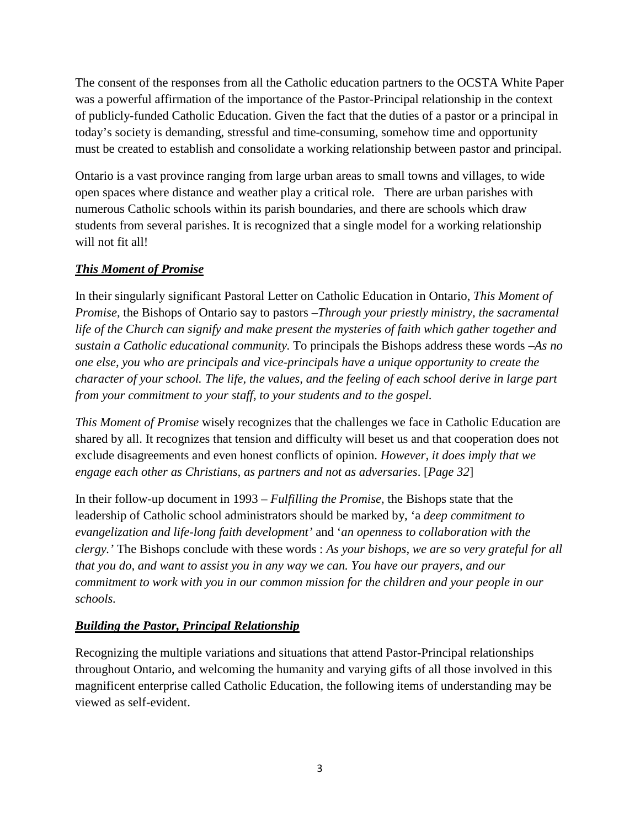The consent of the responses from all the Catholic education partners to the OCSTA White Paper was a powerful affirmation of the importance of the Pastor-Principal relationship in the context of publicly-funded Catholic Education. Given the fact that the duties of a pastor or a principal in today's society is demanding, stressful and time-consuming, somehow time and opportunity must be created to establish and consolidate a working relationship between pastor and principal.

Ontario is a vast province ranging from large urban areas to small towns and villages, to wide open spaces where distance and weather play a critical role. There are urban parishes with numerous Catholic schools within its parish boundaries, and there are schools which draw students from several parishes. It is recognized that a single model for a working relationship will not fit all!

# *This Moment of Promise*

In their singularly significant Pastoral Letter on Catholic Education in Ontario, *This Moment of Promise,* the Bishops of Ontario say to pastors –*Through your priestly ministry, the sacramental life of the Church can signify and make present the mysteries of faith which gather together and sustain a Catholic educational community.* To principals the Bishops address these words –*As no one else, you who are principals and vice-principals have a unique opportunity to create the character of your school. The life, the values, and the feeling of each school derive in large part from your commitment to your staff, to your students and to the gospel.*

*This Moment of Promise* wisely recognizes that the challenges we face in Catholic Education are shared by all. It recognizes that tension and difficulty will beset us and that cooperation does not exclude disagreements and even honest conflicts of opinion. *However, it does imply that we engage each other as Christians, as partners and not as adversaries*. [*Page 32*]

In their follow-up document in 1993 *– Fulfilling the Promise,* the Bishops state that the leadership of Catholic school administrators should be marked by, 'a *deep commitment to evangelization and life-long faith development'* and '*an openness to collaboration with the clergy.'* The Bishops conclude with these words : *As your bishops, we are so very grateful for all that you do, and want to assist you in any way we can. You have our prayers, and our commitment to work with you in our common mission for the children and your people in our schools.*

# *Building the Pastor, Principal Relationship*

Recognizing the multiple variations and situations that attend Pastor-Principal relationships throughout Ontario, and welcoming the humanity and varying gifts of all those involved in this magnificent enterprise called Catholic Education, the following items of understanding may be viewed as self-evident.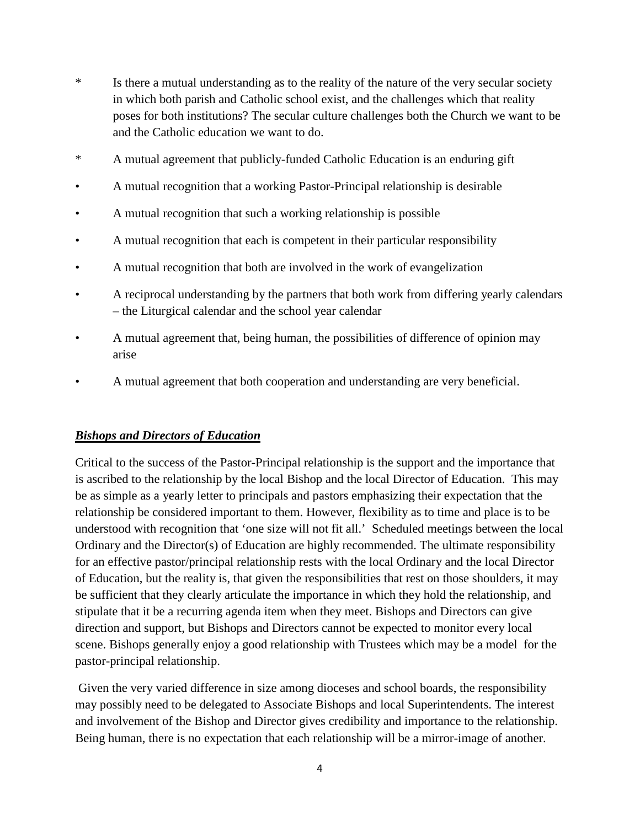- \* Is there a mutual understanding as to the reality of the nature of the very secular society in which both parish and Catholic school exist, and the challenges which that reality poses for both institutions? The secular culture challenges both the Church we want to be and the Catholic education we want to do.
- \* A mutual agreement that publicly-funded Catholic Education is an enduring gift
- A mutual recognition that a working Pastor-Principal relationship is desirable
- A mutual recognition that such a working relationship is possible
- A mutual recognition that each is competent in their particular responsibility
- A mutual recognition that both are involved in the work of evangelization
- A reciprocal understanding by the partners that both work from differing yearly calendars – the Liturgical calendar and the school year calendar
- A mutual agreement that, being human, the possibilities of difference of opinion may arise
- A mutual agreement that both cooperation and understanding are very beneficial.

#### *Bishops and Directors of Education*

Critical to the success of the Pastor-Principal relationship is the support and the importance that is ascribed to the relationship by the local Bishop and the local Director of Education. This may be as simple as a yearly letter to principals and pastors emphasizing their expectation that the relationship be considered important to them. However, flexibility as to time and place is to be understood with recognition that 'one size will not fit all.' Scheduled meetings between the local Ordinary and the Director(s) of Education are highly recommended. The ultimate responsibility for an effective pastor/principal relationship rests with the local Ordinary and the local Director of Education, but the reality is, that given the responsibilities that rest on those shoulders, it may be sufficient that they clearly articulate the importance in which they hold the relationship, and stipulate that it be a recurring agenda item when they meet. Bishops and Directors can give direction and support, but Bishops and Directors cannot be expected to monitor every local scene. Bishops generally enjoy a good relationship with Trustees which may be a model for the pastor-principal relationship.

Given the very varied difference in size among dioceses and school boards, the responsibility may possibly need to be delegated to Associate Bishops and local Superintendents. The interest and involvement of the Bishop and Director gives credibility and importance to the relationship. Being human, there is no expectation that each relationship will be a mirror-image of another.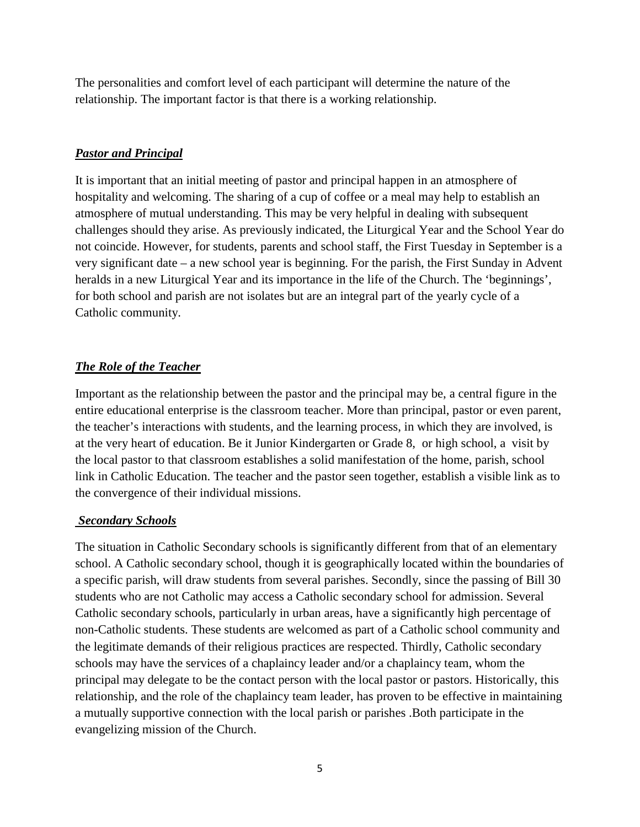The personalities and comfort level of each participant will determine the nature of the relationship. The important factor is that there is a working relationship.

### *Pastor and Principal*

It is important that an initial meeting of pastor and principal happen in an atmosphere of hospitality and welcoming. The sharing of a cup of coffee or a meal may help to establish an atmosphere of mutual understanding. This may be very helpful in dealing with subsequent challenges should they arise. As previously indicated, the Liturgical Year and the School Year do not coincide. However, for students, parents and school staff, the First Tuesday in September is a very significant date – a new school year is beginning. For the parish, the First Sunday in Advent heralds in a new Liturgical Year and its importance in the life of the Church. The 'beginnings', for both school and parish are not isolates but are an integral part of the yearly cycle of a Catholic community.

# *The Role of the Teacher*

Important as the relationship between the pastor and the principal may be, a central figure in the entire educational enterprise is the classroom teacher. More than principal, pastor or even parent, the teacher's interactions with students, and the learning process, in which they are involved, is at the very heart of education. Be it Junior Kindergarten or Grade 8, or high school, a visit by the local pastor to that classroom establishes a solid manifestation of the home, parish, school link in Catholic Education. The teacher and the pastor seen together, establish a visible link as to the convergence of their individual missions.

### *Secondary Schools*

The situation in Catholic Secondary schools is significantly different from that of an elementary school. A Catholic secondary school, though it is geographically located within the boundaries of a specific parish, will draw students from several parishes. Secondly, since the passing of Bill 30 students who are not Catholic may access a Catholic secondary school for admission. Several Catholic secondary schools, particularly in urban areas, have a significantly high percentage of non-Catholic students. These students are welcomed as part of a Catholic school community and the legitimate demands of their religious practices are respected. Thirdly, Catholic secondary schools may have the services of a chaplaincy leader and/or a chaplaincy team, whom the principal may delegate to be the contact person with the local pastor or pastors. Historically, this relationship, and the role of the chaplaincy team leader, has proven to be effective in maintaining a mutually supportive connection with the local parish or parishes .Both participate in the evangelizing mission of the Church.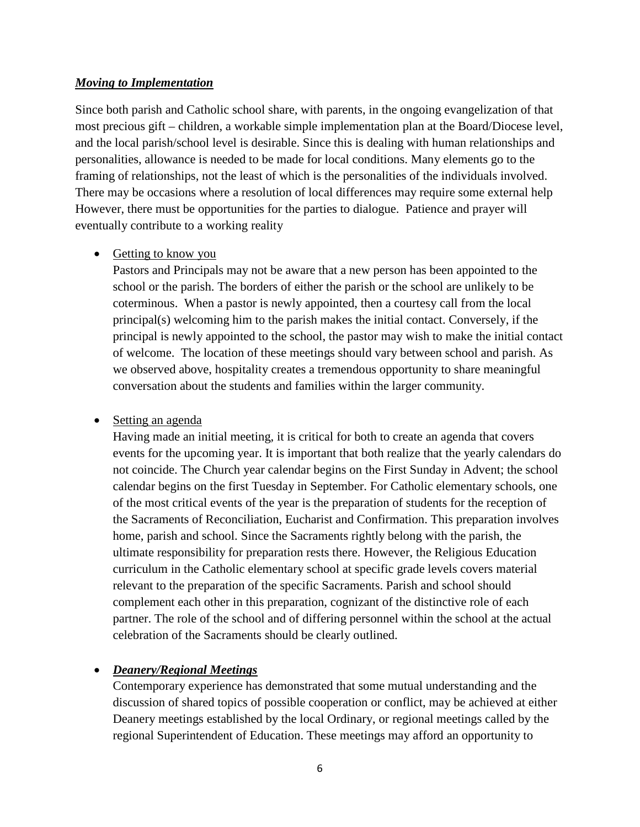#### *Moving to Implementation*

Since both parish and Catholic school share, with parents, in the ongoing evangelization of that most precious gift – children, a workable simple implementation plan at the Board/Diocese level, and the local parish/school level is desirable. Since this is dealing with human relationships and personalities, allowance is needed to be made for local conditions. Many elements go to the framing of relationships, not the least of which is the personalities of the individuals involved. There may be occasions where a resolution of local differences may require some external help However, there must be opportunities for the parties to dialogue. Patience and prayer will eventually contribute to a working reality

#### • Getting to know you

Pastors and Principals may not be aware that a new person has been appointed to the school or the parish. The borders of either the parish or the school are unlikely to be coterminous. When a pastor is newly appointed, then a courtesy call from the local principal(s) welcoming him to the parish makes the initial contact. Conversely, if the principal is newly appointed to the school, the pastor may wish to make the initial contact of welcome. The location of these meetings should vary between school and parish. As we observed above, hospitality creates a tremendous opportunity to share meaningful conversation about the students and families within the larger community.

### • Setting an agenda

Having made an initial meeting, it is critical for both to create an agenda that covers events for the upcoming year. It is important that both realize that the yearly calendars do not coincide. The Church year calendar begins on the First Sunday in Advent; the school calendar begins on the first Tuesday in September. For Catholic elementary schools, one of the most critical events of the year is the preparation of students for the reception of the Sacraments of Reconciliation, Eucharist and Confirmation. This preparation involves home, parish and school. Since the Sacraments rightly belong with the parish, the ultimate responsibility for preparation rests there. However, the Religious Education curriculum in the Catholic elementary school at specific grade levels covers material relevant to the preparation of the specific Sacraments. Parish and school should complement each other in this preparation, cognizant of the distinctive role of each partner. The role of the school and of differing personnel within the school at the actual celebration of the Sacraments should be clearly outlined.

### • *Deanery/Regional Meetings*

Contemporary experience has demonstrated that some mutual understanding and the discussion of shared topics of possible cooperation or conflict, may be achieved at either Deanery meetings established by the local Ordinary, or regional meetings called by the regional Superintendent of Education. These meetings may afford an opportunity to